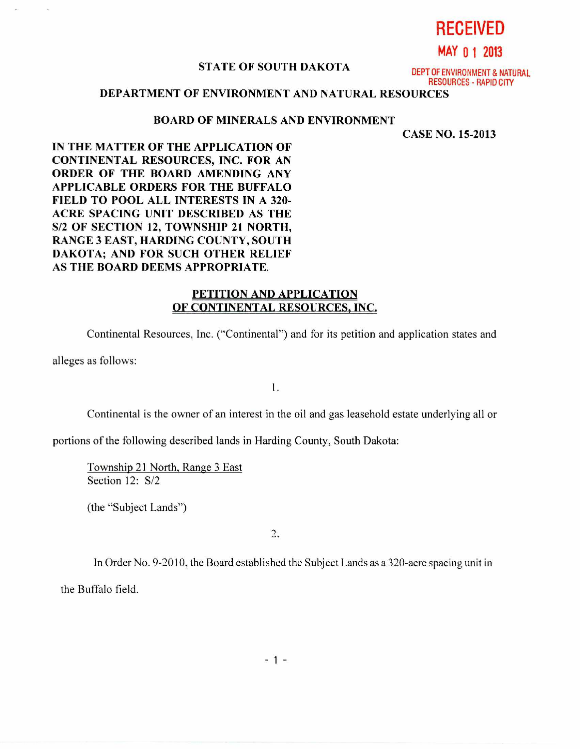**RECEIVED** 

**MAY 0 1 2013** 

## **STATE OF SOUTH DAKOTA DEPT OF ENVIRONMENT & NATURAL**

RESOURCES - RAPID CITY

## **DEPARTMENT OF ENVIRONMENT AND NATURAL RESOURCES**

## **BOARD OF MINERALS AND ENVIRONMENT**

**CASE NO. 15-2013** 

**IN THE MATTER OF THE APPLICATION OF CONTINENTAL RESOURCES, INC. FOR AN ORDER OF THE BOARD AMENDING ANY APPLICABLE ORDERS FOR THE BUFFALO FIELD TO POOL ALL INTERESTS IN A 320- ACRE SPACING UNIT DESCRIBED AS THE S/2 OF SECTION 12, TOWNSHIP 21 NORTH, RANGE 3 EAST, HARDING COUNTY, SOUTH DAKOTA; AND FOR SUCH OTHER RELIEF AS THE BOARD DEEMS APPROPRIATE.** 

## **PETITION AND APPLICATION OF CONTINENTAL RESOURCES, INC.**

Continental Resources, Inc. ("Continental") and for its petition and application states and

alleges as follows:

1.

Continental is the owner of an interest in the oil and gas leasehold estate underlying all or

portions of the following described lands in Harding County, South Dakota:

Township 21 North, Range 3 East Section 12: S/2

(the "Subject Lands")

 $\overline{2}$ .

In Order No. 9-2010, the Board established the Subject Lands as a 320-acre spacing unit in

the Buffalo field.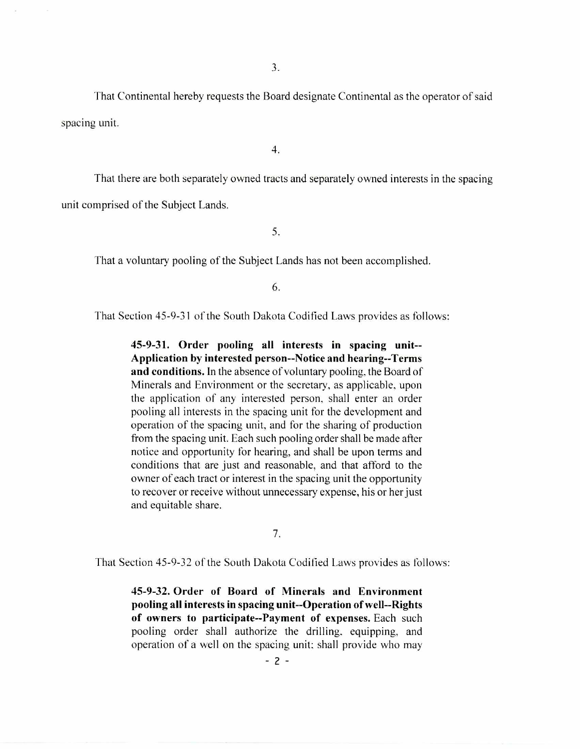That Continental hereby requests the Board designate Continental as the operator of said spacing unit.

4.

That there are both separately owned tracts and separately owned interests in the spacing unit comprised of the Subject Lands.

5.

That a voluntary pooling of the Subject Lands has not been accomplished.

6.

That Section 45-9-31 of the South Dakota Codified Laws provides as follows:

**45-9-31. Order pooling all interests in spacing unit-- Application by interested person--Notice and hearing--Terms and conditions.** In the absence of voluntary pooling, the Board of Minerals and Environment or the secretary, as applicable, upon the application of any interested person, shall enter an order pooling all interests in the spacing unit for the development and operation of the spacing unit, and for the sharing of production from the spacing unit. Each such pooling order shall be made after notice and opportunity for hearing, and shall be upon terms and conditions that are just and reasonable, and that afford to the owner of each tract or interest in the spacing unit the opportunity to recover or receive without unnecessary expense, his or her just and equitable share.

7.

That Section 45-9-32 of the South Dakota Codified Laws provides as follows:

**45-9-32. Order of Board of Minerals and Environment pooling all interests in spacing unit--Operation of well--Rights of owners to participate--Payment of expenses.** Each such pooling order shall authorize the drilling, equipping, and operation of a well on the spacing unit, shall provide who may .